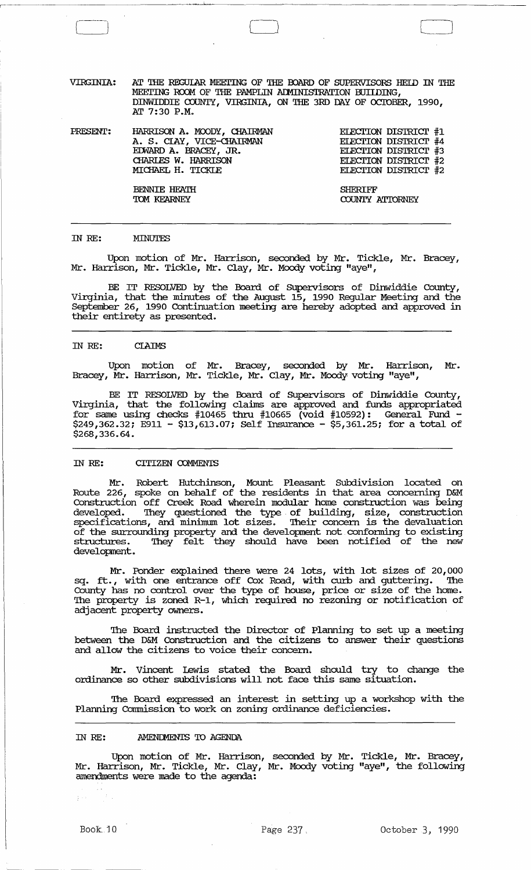VIRGINIA: AT THE REGULAR MEETING OF THE BOARD OF SUPERVISORS HEID IN THE MEETING ROOM OF THE PAMPLIN ADMINISTRATION BUILDING, DINWIDDIE COUNTY, VIRGINIA, ON THE 3RD DAY OF OCTOBER, 1990, Nr 7:30 P.M.

*PRESENT:*  HARRISON A. MOODY, CHAIRMAN A. S. CIAY, VICE-CHAIRMAN EnJARD A. BRACEY, JR. CHARLES W. HARRISON MICHAEL H. TICKIE

ELECTION DISTRICT #1 ELECTION DISTRICT #4 ELECTION DISTRICT #3 ELECTION DISTRICT #2 ELECTION DISTRICT #2

BENNIE HFATH TOM KEARNEY SHERIFF COUNTY ATTORNEY

#### IN *RE:*  MINUTES

Upon motion of Mr. Harrison, seconded by Mr. Tickle, Mr. Bracey, Mr. Harrison, Mr. Tickle, Mr. Clay, Mr. Moody voting "aye",

BE IT RESOLVED by the Board of SUpervisors of Dinwiddie County, Virginia, that the minutes of the August 15, 1990 Regular Meeting and the September 26, 1990 Continuation meeting are hereby adopted and approved in their entirety as presented.

#### IN *RE:*  **CLAIMS**

Upon motion of Mr. Bracey, seconded by Mr. Harrison, Mr. Bracey, Mr. Harrison, Mr. Tickle, Mr. Clay, Mr. Moody voting "aye",

BE IT RESOLVED by the Board of SUpervisors of Dinwiddie County, Virginia, that the following claims are approved and funds appropriated for same using checks  $#10465$  thru  $#10665$  (void  $#10592$ ): General Fund  $\cdot$ \$249,362.32; E911 - \$13,613.07; Self Insurance - \$5,361.25; for a total of \$268,336.64.

## IN *RE:* CITIZEN COMMENTS

Mr. Robert Hutchinson, Mount Pleasant SUbdivision located on Route 226, spoke on behalf of the residents in that area concerning D&M Construction off Creek Road wherein modular home construction was being developed. They questioned the type of building, size, construction specifications, and minimum lot sizes. Their concern is the devaluation of the surrounding property and the development not confonning to existing structures. They felt they should have been notified of the new development.

Mr. Ponder explained there were 24 lots, with lot sizes of 20,000 sq. ft., with one entrance off Cox Road, with curb and guttering. The County has no control over the type of house, price or size of the home. The property is zoned R-1, which required no rezoning or notification of adjacent property owners.

The Board instructed the Director of Planning to set up a meeting between the D&M Construction and the citizens to answer their questions and allow the citizens to voice their concern.

Mr. vincent lewis stated the Board should try to change the ordinance so other subdivisions will not face this same situation.

The Board expressed an interest in setting up a workshop with the Planning Commission to work on zoning ordinance deficiencies.

#### IN *RE:*  AMENDMENTS TO AGENDA

Upon motion of Mr. Harrison, seconded by Mr. Tickle, Mr. Bracey, Mr. Harrison, Mr. Tickle, Mr. Clay, Mr. Moody voting "aye", the following amendments were made to the agenda:

 $\hat{\Sigma}^{\pm}$  ,  $\hat{\Sigma}^{\pm}$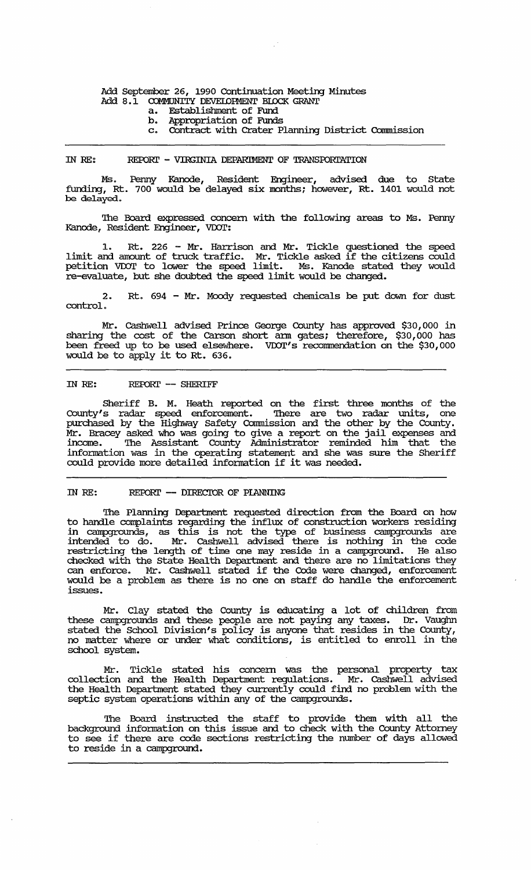# Add September 26, 1990 Continuation Meeting Minutes Add 8.1 COMMUNITY DEVELOPMENT BLOCK GRANT<br>a. Establishment of Fund

- a. Establishment of Fund
- b. Appropriation of Funds<br>c. Contract with Crater P.
- Contract with Crater Planning District Commission

#### IN RE: REPORT - VIRGINIA DEPARIMENT OF TRANSPORTATION

Ms. Penny Kanode, Resident Engineer, advised due to State funding, Rt. 700 would be delayed six months; however, Rt. 1401 would not be de1ayed.

The Board expressed concern with the following areas to Ms. Penny Kanode, Resident Engineer, VDOT:

1. Rt. 226 - Mr. Harrison and Mr. Tickle questioned the speed limit and amount of truck traffic. Mr. Tickle asked if the citizens could petition VDOT to lower the speed limit. Ms. Kanode stated they would re-evaluate, but she doubted the speed limit would be changed.

2. Rt. 694 - Mr. Moody requested chemicals be put down for dust control.

Mr. Cashwell advised Prince George County has approved \$30,000 in sharing the cost of the Carson short arm gates; therefore, \$30,000 has been freed up to be used elsewhere. VDOT's recommendation on the \$30,000 would be to apply it to Rt. 636.

# IN RE: REPORT -- SHERIFF

Sheriff B. M. Heath reported on the first three months of the County's radar speed enforcement. '!here are two radar units, one purchased by the Highway Safety Commission and the other by the County. Mr. Bracey asked who was going to give a report on the jail expenses and income. '!he Assistant County Administrator reminded him that the information was in the operating statement and she was sure the Sheriff could provide more detailed information if it was needed.

# IN RE: REPORT -- DIRECTOR OF PLANNING

The Planning Department requested direction from the Board on how to handle complaints regarding the influx of construction workers residing in campgrounds, as this is not the type of business campgrounds are intended to do. Mr. Cashwell advised there is nothing in the code restricting the length of time one may reside in a campground. He also checked with the State Health Department and there are no limitations they can enforce. Mr. Cashwell stated if the Code were changed, enforcement would be a problem as there is no one on staff do handle the enforcement issues.

Mr. Clay stated the County is educating a lot of children from these campgrounds and these people are not paying any taxes. Dr. Vaughn stated the School Division's policy is anyone that resides in the County, no matter where or under what conditions, is entitled to enroll in the school system.

Mr. Tickle stated his concern was the personal property tax collection and the Health Department regulations. Mr. Cashwell advised the Health Deparbnent stated they currently could find no problem with the septic system operations within any of the campgrounds.

The Board instructed the staff to provide them with all the background info:nnation on this issue and to check with the County Attorney to see if there are code sections restricting the number of days allowed to reside in a campground.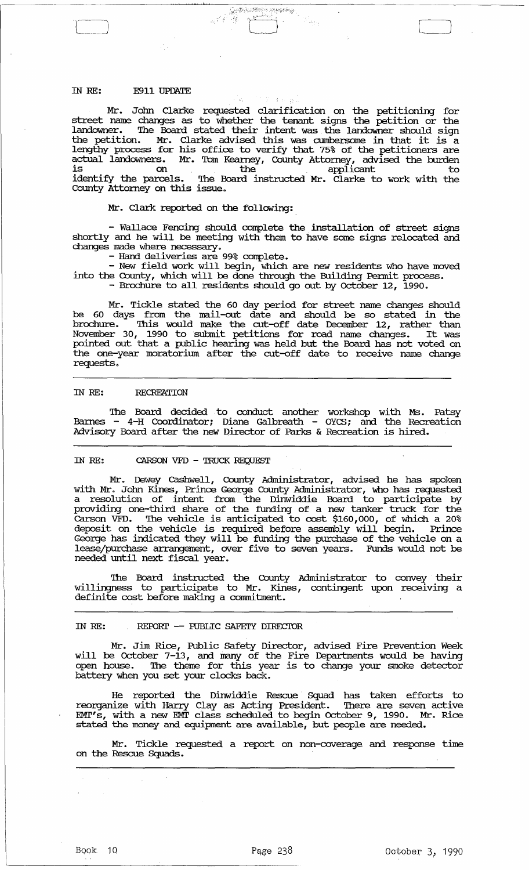# IN RE: E911 UPDATE

Mr. Jolm Clarke requested clarification on the petitioning for street name changes as to whether the tenant signs the petition or the landowner. The Board stated their intent was the landowner should sign the petition. Mr. Clarke advised this was cumbersome in that it is a lengthy process for his office to verify that 75% of the petitioners are actual landowners. Mr. Tom Kearney, County Attorney, advised the burden is on the applicant to the total the to identify the parcels. The Board instructed Mr. Clarke to work with the County Attorney on this issue.

 $r=\sqrt{2\pi\left(\frac{1}{2}\right)^2+\frac{1}{2}\left(\frac{1}{2}\right)^2+\frac{1}{2}\left(\frac{1}{2}\right)^2+\frac{1}{2}\left(\frac{1}{2}\right)^2+\frac{1}{2}\left(\frac{1}{2}\right)^2+\frac{1}{2}\left(\frac{1}{2}\right)^2+\frac{1}{2}\left(\frac{1}{2}\right)^2+\frac{1}{2}\left(\frac{1}{2}\right)^2+\frac{1}{2}\left(\frac{1}{2}\right)^2+\frac{1}{2}\left(\frac{1}{2}\right)^2+\frac{1}{2}\left(\frac{1}{2}\right)^2+\frac{1}{2}\left(\frac{1}{2}\right)^2+\frac{$ 

#### Mr. Clark reported on the following:

- Wallace Fencing should complete the. installation of street signs shortly and he will be meeting with them to have some signs relocated and changes made where necessary.

- Hand deliveries are 99% complete.<br>- New field work will begin, which are new residents who have moved into the County, which will be done through the Building Pennit process. - Brochure to all residents should go out by October 12, 1990.

Mr. Tickle stated the 60 day period for street name changes should be 60 days from the mail-out date and should be so stated in the brochure. This would make the cut-off date December 12, rather than November 30, 1990 to submit petitions for road name changes. It was pointed out that a public hearing was held but the Board has not voted on the one-year moratorimn after the cut-off date to receive name change requests.

#### IN RE: RECREATION

The Board decided to conduct another workshop with Ms. Patsy Barnes - 4-H Coordinator; Diane Galbreath - OYCS; and the Recreation Advisory Board after the new Director of Parks & Recreation is hired.

#### IN RE: CARSON VFD - TRUCK REQUEST

Mr. Dewey cashwell, County Administrator, advised he has spoken with Mr. John Kines, Prince George County Administrator, who has requested a resolution of intent from the Dinwiddie Board to participate by providing one-third share of the funding of a new tanker truck for the Carson VFD. The vehicle is anticipated to cost \$160,000, of which a 20% deposit on the vehicle is required before assembly will begin. Prince George has indicated they will be funding the purchase of the vehicle on a lease/purchase arrangement, over five to seven years. FUnds would not be needed until next fiscal year.

The Board instructed the County Administrator to convey their willingness to participate to Mr. Kines, contingent upon receiving a definite cost before making a commitment.

# IN RE: REPORT -- PUBLIC SAFETY DIRECTOR

Mr. Jim Rice, Public Safety Director, advised Fire Prevention Week will be October 7-13, and many of the Fire Departments would be having open house. The theme for this year is to change your smoke detector battery when you set your clocks back.

He reported the Dinwiddie Rescue Squad has taken efforts to reorganize with Harry Clay as Acting President. There are seven active EM!"s, with a new EM!' class scheduled to begin October 9, 1990. Mr. Rice stated the money and equipment are available, but people are needed.

Mr. Tickle requested a report on non-coverage and response time on the Rescue Squads.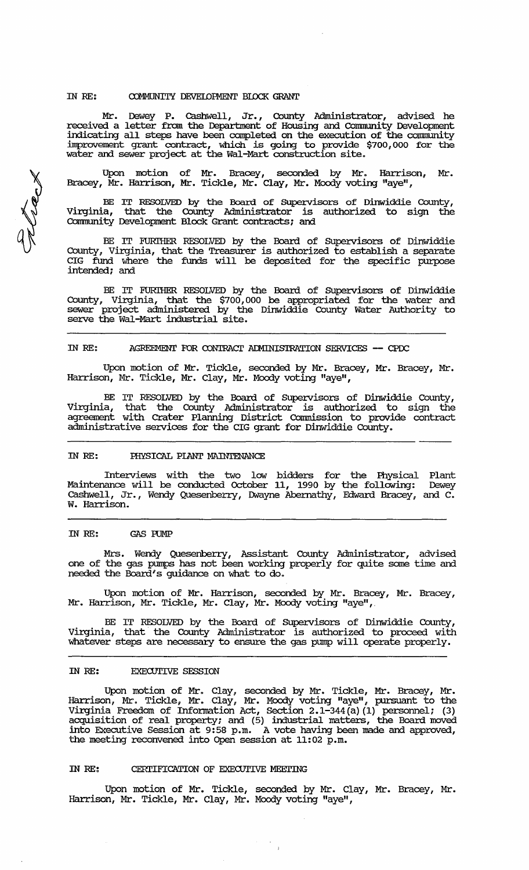## IN RE: COMMUNITY DEVELOPMENT BLOCK GRANT

Mr. Dewey P. Cashwell, Jr. , County Administrator, advised. he received a letter from the Department of Housing and Community Development indicating all steps have been completed on the execution of the conununity inprovement grant contract, which is going to provide \$700,000 for the water and sewer project at the Wal-Mart construction site.

Upon motion of Mr. Bracey, seconded by Mr. Harrison, Mr. Bracey, Mr. Harrison, Mr. Tickle, Mr. Clay, Mr. Moody voting "aye",  $\,$ 

BE IT RESOLVED by the Board of Supervisors of Dinwiddie County, Virginia, that the County Administrator is authorized to sign the Community Development Block Grant contracts; and

BE IT FURI'HER RESOLVED by the Board of SUpervisors of Dinwiddie  $\text{County}_i$  Virginia, that the Treasurer is authorized to establish a separate CIG fund where the funds will be deposited for the specific purpose intended; and

BE IT FURITHER RESOLVED by the Board of Supervisors of Dinwiddie County, Virginia, that the \$700,000 be appropriated for the water and sewer project administered by the Dinwiddie County Water Authority to serve the Wal-Mart industrial site.

## IN RE: AGREEMENT FOR CONTRACT ADMINISTRATION SERVICES -- CPDC

Upon motion of Mr. Tickle, seconded by Mr. Bracey, Mr. Bracey, Mr. Harrison, Mr. Tickle, Mr. Clay, Mr. Moody voting "aye",

BE IT RESOLVED by the Board of SUpervisors of Dinwiddie County, Virginia, that the County Administrator is authorized to sign the agreement with Crater Planning District Conunission to provide contract administrative services for the CIG grant for Dinwiddie County.

#### IN *RE:* PHYSICAL PIANT MAINTENANCE

Interviews with the two low bidders for the Physical Plant Maintenance will be conducted October 11, 1990 by the following: Dewey Cashwell, Jr., Wendy Quesenberry, Dwayne Abernathy, Edward Bracey, and C. w. Harrison.

## IN RE: GAS RJMP

Mrs. Wendy Quesenberry, Assistant County Administrator, advised one of the gas pumps has not been working properly for quite some time and needed the Board's guidance on what to do.

Upon motion of Mr. Harrison, seconded by Mr. Bracey, Mr. Bracey, Mr. Harrison, Mr. Tickle, Mr. Clay, Mr. Moody voting "aye",.

BE IT RESOLVED by the Board of SUpervisors of Dinwiddie County, Virginia, that the County Administrator is authorized to proceed with whatever steps are necessary to ensure the gas pump will operate properly.

#### IN RE: EXECUTIVE SESSION

Upon motion of Mr. Clay, seconded by Mr. Tickle, Mr. Bracey, Mr. Harrison, Mr. Tickle, Mr. Clay, Mr. Moody voting "aye", pursuant to the Virginia Freedom of Infonnation Act, Section 2.1-344 (a) (1) personnel; (3) acquisition of real property; and (5) industrial matters, the Board moved into Executive Session at 9:58 p.m. A vote having been made and approved, the meeting reconvened into Open session at 11:02 p.m.

# IN RE: CERTIFICATION OF EXECUTIVE MEETING

Upon motion of Mr. Tickle, seconded by Mr. Clay, Mr. Bracey, Mr. Harrison, Mr. Tickle, Mr. Clay, Mr. Moody voting "aye",

eleex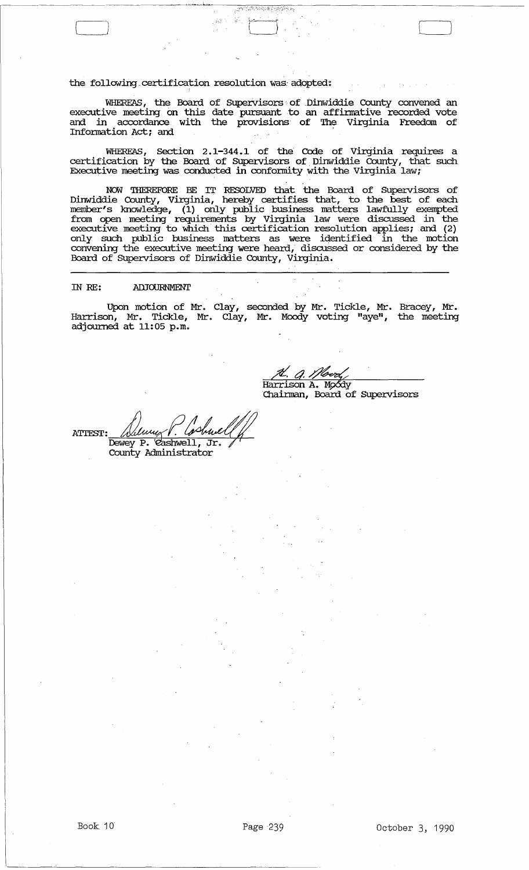the following certification resolution was adopted:

WHEREAS, the Board of Supervisors of Dinwiddie County convened an executive meeting on this date pursuant to an affinnative recorded vote and in accordance with the provisions of The Virginia Freedom of Information Act; and

( <sup>j</sup>"r J lJ

WHEREAS, Section 2.1-344.1 of the Code of Virginia requires a certification by the Board of Supervisors of Dinwiddie County, that such Executive meeting was conducted in conformity with the Virginia law;

NOW THEREFORE BE IT RESOLVED that the Board of SUpervisors of Dinwiddie County, Virginia, hereby certifies that, to the best of each member's knowledge, (1) only public business matters lawfully exempted from open meeting requirements by Virginia law were discussed in the executive meeting to which this certification resolution applies; and (2) only such public business matters as were identified' in the motion convening the executive meeting were heard, discussed or considered by the Board. of SUpervisors of Dinwiddie County, Virginia.

#### IN RE: ADJOURNMENT

Upon motion of Mr. Clay, seconded by Mr. Tickle, Mr. Bracey, Mr. Harrison, Mr. Tickle, Mr. Clay, Mr. Moody voting "aye", the meeting adjourned at 11:05 p.m.

<u>.<br>A. *A. Ifbert*<br>Harrison A. Moody</u>

'Chainnan, Board of SUpervisors

Denny P. Costruell **ATTEST:** County Administrator